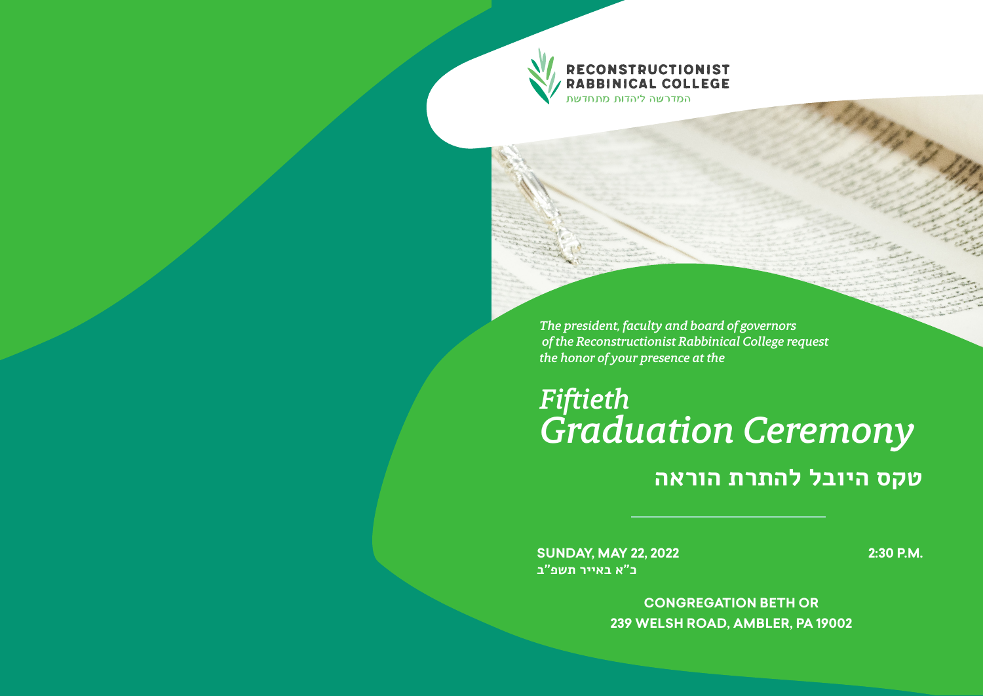**RECONSTRUCTIONIST<br>RABBINICAL COLLEGE** המדרשה ליהדות מתחדשת

*The president, faculty and board of governors of the Reconstructionist Rabbinical College request the honor of your presence at the*

# *Fiftieth Graduation Ceremony* **טקס היובל להתרת הוראה**

**SUNDAY, MAY 22, 2022 כ״א באייר תשפ״ב**

**2:30 P.M.** 

**CONGREGATION BETH OR 239 WELSH ROAD, AMBLER, PA 19002**